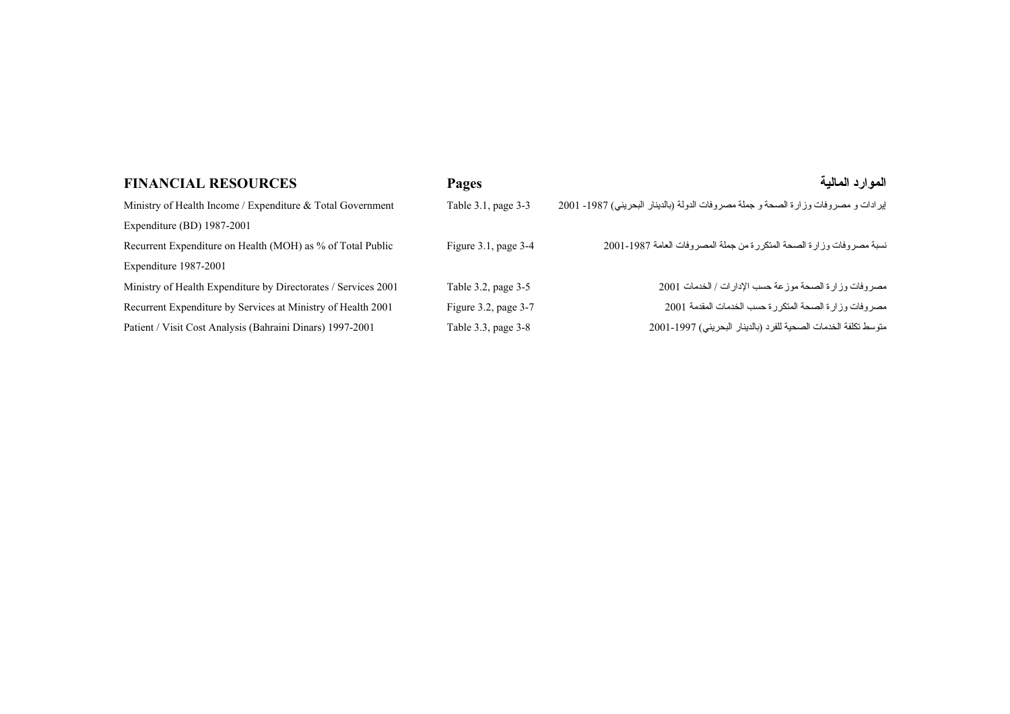| <b>FINANCIAL RESOURCES</b>                                     | Pages                     | الموارد المالية                                                                    |
|----------------------------------------------------------------|---------------------------|------------------------------------------------------------------------------------|
| Ministry of Health Income / Expenditure $\&$ Total Government  | Table 3.1, page 3-3       | إيرادات و مصروفات وزارة الصحة و جملة مصروفات الدولة (بالدينار البحريني) 1987- 2001 |
| Expenditure (BD) 1987-2001                                     |                           |                                                                                    |
| Recurrent Expenditure on Health (MOH) as % of Total Public     | Figure $3.1$ , page $3-4$ | نسبة مصروفات وزارة الصحة المنكررة من جملة المصروفات العامة 1987-2001               |
| Expenditure 1987-2001                                          |                           |                                                                                    |
| Ministry of Health Expenditure by Directorates / Services 2001 | Table 3.2, page 3-5       | مصروفات وزارة الصحة موزعة حسب الإدارات / الخدمات 2001                              |
| Recurrent Expenditure by Services at Ministry of Health 2001   | Figure $3.2$ , page $3-7$ | مصروفات وزارة الصحة المتكررة حسب الخدمات المقدمة 2001                              |
| Patient / Visit Cost Analysis (Bahraini Dinars) 1997-2001      | Table 3.3, page 3-8       | منوسط تكلفة الخدمات الصحية للفرد (بالدينار البحريني) 1997-2001                     |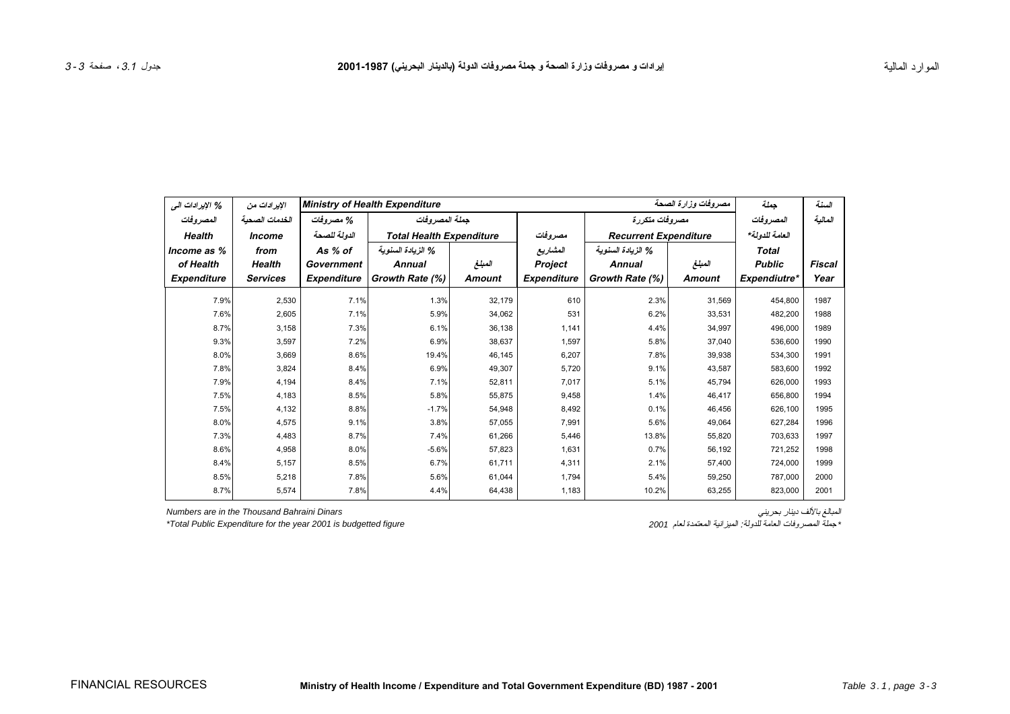<span id="page-2-0"></span>

| % الإيرادات الى    | الإيرادات من         | مصروفات وزارة الصحة<br><b>Ministry of Health Expenditure</b> |                                 |               |                    |                              | جملة           | السنة         |               |
|--------------------|----------------------|--------------------------------------------------------------|---------------------------------|---------------|--------------------|------------------------------|----------------|---------------|---------------|
| المصر وفات         | الخدمات الصحبة       | % مصروفات                                                    | جملة المصر وفات                 |               |                    | مصروفات متكررة               | المصروفات      | المالية       |               |
| <b>Health</b>      | <i><b>Income</b></i> | الدولة للصحة                                                 | <b>Total Health Expenditure</b> |               | مصروفات            | <b>Recurrent Expenditure</b> | العامة للدولة* |               |               |
| Income as %        | from                 | As % of                                                      | % الزيادة السنوية               |               | المشاريع           | % الزيادة السنوية            |                | <b>Total</b>  |               |
| of Health          | Health               | Government                                                   | <b>Annual</b>                   | المبلغ        | Project            | <b>Annual</b>                | المبلغ         | <b>Public</b> | <b>Fiscal</b> |
| <b>Expenditure</b> | <b>Services</b>      | <b>Expenditure</b>                                           | Growth Rate (%)                 | <b>Amount</b> | <b>Expenditure</b> | Growth Rate (%)              | <b>Amount</b>  | Expendiutre*  | Year          |
| 7.9%               | 2,530                | 7.1%                                                         | 1.3%                            | 32,179        | 610                | 2.3%                         | 31,569         | 454,800       | 1987          |
| 7.6%               | 2,605                | 7.1%                                                         | 5.9%                            | 34,062        | 531                | 6.2%                         | 33,531         | 482,200       | 1988          |
| 8.7%               | 3.158                | 7.3%                                                         | 6.1%                            | 36,138        | 1.141              | 4.4%                         | 34,997         | 496.000       | 1989          |
| 9.3%               | 3,597                | 7.2%                                                         | 6.9%                            | 38,637        | 1,597              | 5.8%                         | 37,040         | 536,600       | 1990          |
| 8.0%               | 3,669                | 8.6%                                                         | 19.4%                           | 46,145        | 6,207              | 7.8%                         | 39,938         | 534,300       | 1991          |
| 7.8%               | 3,824                | 8.4%                                                         | 6.9%                            | 49,307        | 5,720              | 9.1%                         | 43,587         | 583,600       | 1992          |
| 7.9%               | 4,194                | 8.4%                                                         | 7.1%                            | 52,811        | 7,017              | 5.1%                         | 45,794         | 626,000       | 1993          |
| 7.5%               | 4,183                | 8.5%                                                         | 5.8%                            | 55,875        | 9,458              | 1.4%                         | 46,417         | 656,800       | 1994          |
| 7.5%               | 4,132                | 8.8%                                                         | $-1.7%$                         | 54,948        | 8,492              | 0.1%                         | 46,456         | 626,100       | 1995          |
| 8.0%               | 4,575                | 9.1%                                                         | 3.8%                            | 57,055        | 7,991              | 5.6%                         | 49,064         | 627.284       | 1996          |
| 7.3%               | 4.483                | 8.7%                                                         | 7.4%                            | 61,266        | 5,446              | 13.8%                        | 55,820         | 703.633       | 1997          |
| 8.6%               | 4,958                | 8.0%                                                         | $-5.6%$                         | 57,823        | 1,631              | 0.7%                         | 56,192         | 721,252       | 1998          |
| 8.4%               | 5,157                | 8.5%                                                         | 6.7%                            | 61,711        | 4,311              | 2.1%                         | 57,400         | 724,000       | 1999          |
| 8.5%               | 5,218                | 7.8%                                                         | 5.6%                            | 61,044        | 1,794              | 5.4%                         | 59,250         | 787,000       | 2000          |
| 8.7%               | 5,574                | 7.8%                                                         | 4.4%                            | 64,438        | 1,183              | 10.2%                        | 63,255         | 823,000       | 2001          |

*Numbers are in the Thousand Bahraini Dinars*

<sup>\*</sup>Total Public Expenditure for the year 2001 is budgetted figure

المبالغ بالألف دينار بحريني<br>\* جملة المصروفات العامة للدولة: الميزانية المعتمدة لعام 2001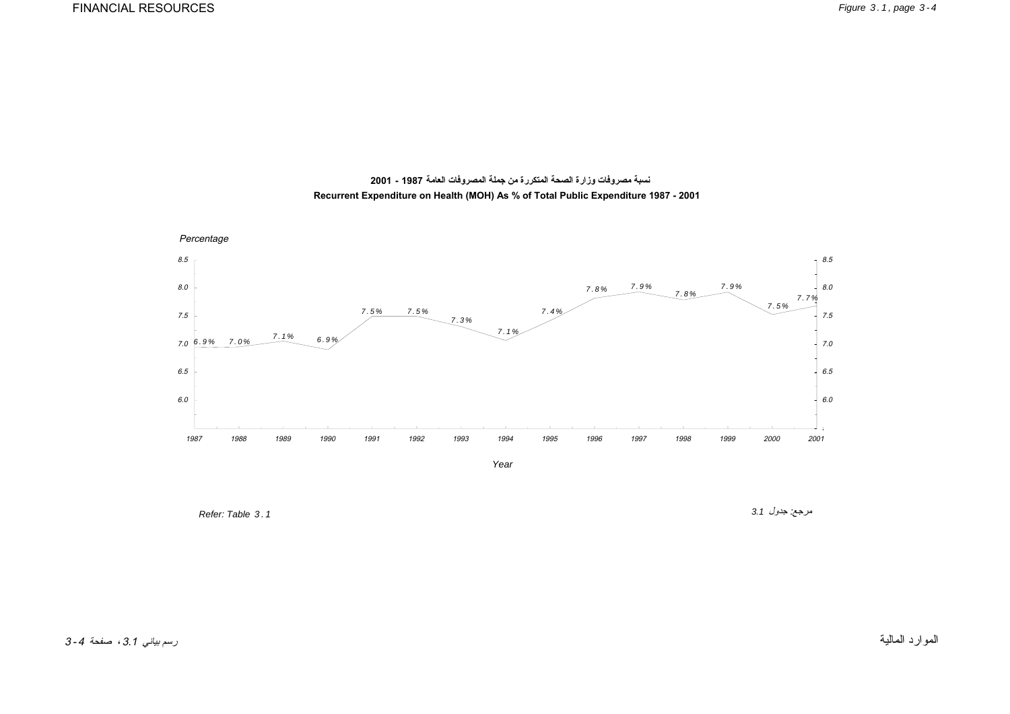<span id="page-3-0"></span>

**نسبة مصروفات وزارة الصحة المتكررة من جملة المصروفات العامة 1987 - 2001 Recurrent Expenditure on Health (MOH) As % of Total Public Expenditure 1987 - 2001**

*Year*

*Refer: Table 3.1* 

مرجع: جدول *3.1*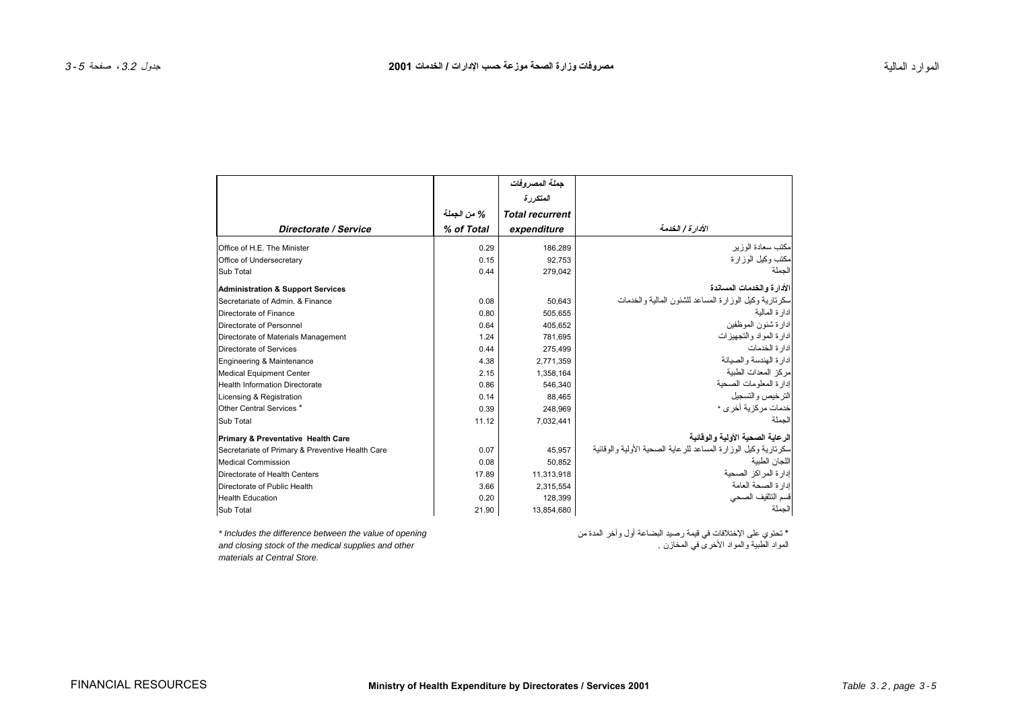<span id="page-4-0"></span>

|                                                  |             | جملة المصروفات         |                                                                |
|--------------------------------------------------|-------------|------------------------|----------------------------------------------------------------|
|                                                  |             | المتكررة               |                                                                |
|                                                  | % من الجملة | <b>Total recurrent</b> |                                                                |
| Directorate / Service                            | % of Total  | expenditure            | الأدار ة / الخدمة                                              |
| Office of H.E. The Minister                      | 0.29        | 186,289                | مكتب سعادة الوزير                                              |
| Office of Undersecretary                         | 0.15        | 92.753                 | مكتب وكيل الوزارة                                              |
| Sub Total                                        | 0.44        | 279,042                | الجملة                                                         |
| <b>Administration &amp; Support Services</b>     |             |                        | الأدار ة و الخدمات المساندة                                    |
| Secretariate of Admin, & Finance                 | 0.08        | 50,643                 | سكرنارية وكيل الوزارة المساعد للشئون المالية والخدمات          |
| Directorate of Finance                           | 0.80        | 505,655                | ادار ة المالية                                                 |
| Directorate of Personnel                         | 0.64        | 405,652                | ادارة شئون الموظفين                                            |
| Directorate of Materials Management              | 1.24        | 781,695                | ادارة المواد والتجهيزات                                        |
| Directorate of Services                          | 0.44        | 275,499                | ادار ة الخدمات                                                 |
| Engineering & Maintenance                        | 4.38        | 2,771,359              | ادار ة الهندسة و الصيانة                                       |
| <b>Medical Equipment Center</b>                  | 2.15        | 1,358,164              | مركز المعدات الطبية                                            |
| <b>Health Information Directorate</b>            | 0.86        | 546,340                | إدار ة المعلومات الصحية                                        |
| Licensing & Registration                         | 0.14        | 88,465                 | الترخيص والتسجيل                                               |
| Other Central Services *                         | 0.39        | 248,969                | خدمات مركزية أخر ي *                                           |
| Sub Total                                        | 11.12       | 7,032,441              | الجملة                                                         |
| Primary & Preventative Health Care               |             |                        | الرعاية الصحية الأولية والوقانية                               |
| Secretariate of Primary & Preventive Health Care | 0.07        | 45,957                 | سكرتارية وكيل الوزارة المساعد للرعاية الصحية الأولية والوقائية |
| Medical Commission                               | 0.08        | 50,852                 | اللجان الطبية                                                  |
| Directorate of Health Centers                    | 17.89       | 11,313,918             | إدارة المراكز الصحية                                           |
| Directorate of Public Health                     | 3.66        | 2,315,554              | إدارة الصحة العامة                                             |
| <b>Health Education</b>                          | 0.20        | 128,399                | قسم التثقيف الصحى                                              |
| Sub Total                                        | 21.90       | 13,854,680             | الجملة                                                         |

*and closing stock of the medical supplies and other* . المخازن في الأخرى والمواد الطبية المواد *materials at Central Store.*

\* تحتوي على الإختلافات في قيمة رصيد البضاعة أول وآخر المدة من *opening of value the between difference the Includes\**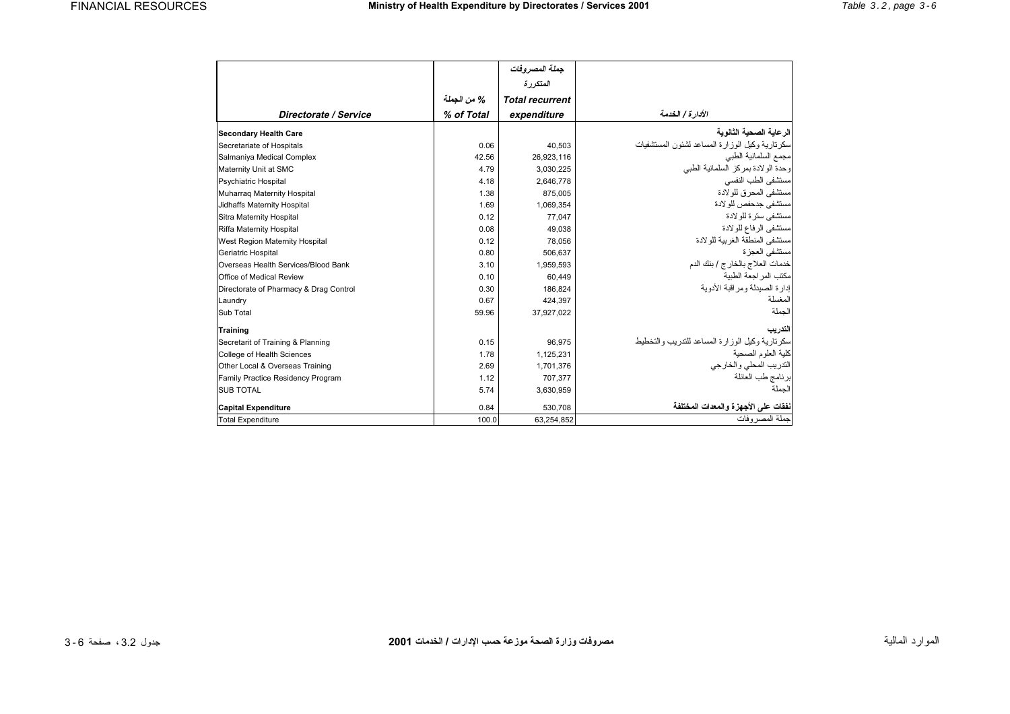|                                        |             | جملة المصروفات         |                                                  |
|----------------------------------------|-------------|------------------------|--------------------------------------------------|
|                                        |             | المتكررة               |                                                  |
|                                        | % من الجملة | <b>Total recurrent</b> |                                                  |
| Directorate / Service                  | % of Total  | expenditure            | الأدار ة / الخدمة                                |
| <b>Secondary Health Care</b>           |             |                        | الر عاية الصحية الثانوية                         |
| Secretariate of Hospitals              | 0.06        | 40.503                 | سكرتارية وكيل الوزارة المساعد لشئون المستشفيات   |
| Salmaniya Medical Complex              | 42.56       | 26.923.116             | مجمع السلمانية الطبي                             |
| Maternity Unit at SMC                  | 4.79        | 3,030,225              | وحدة الولادة بمركز السلمانية الطبي               |
| <b>Psychiatric Hospital</b>            | 4.18        | 2,646,778              | مستشفى الطب النفسى                               |
| Muharraq Maternity Hospital            | 1.38        | 875,005                | مستشفى المحرق للو لادة                           |
| Jidhaffs Maternity Hospital            | 1.69        | 1,069,354              | مستشفى جدحفص للو لادة                            |
| Sitra Maternity Hospital               | 0.12        | 77.047                 | مستشفى ستر ۃ للو لادۃ                            |
| Riffa Maternity Hospital               | 0.08        | 49,038                 | مستشفى الرفاع للولادة                            |
| West Region Maternity Hospital         | 0.12        | 78,056                 | مستشفى المنطقة الغر بية للو لادة                 |
| Geriatric Hospital                     | 0.80        | 506,637                | مستشفى العجز ة                                   |
| Overseas Health Services/Blood Bank    | 3.10        | 1,959,593              | خدمات العلاج بالخارج / بنك الدم                  |
| Office of Medical Review               | 0.10        | 60.449                 | مكتب المراجعة الطبية                             |
| Directorate of Pharmacy & Drag Control | 0.30        | 186.824                | إدارة الصيدلة ومراقبة الأدوية                    |
| Laundry                                | 0.67        | 424,397                | المغسلة                                          |
| Sub Total                              | 59.96       | 37.927.022             | الجملة                                           |
| <b>Training</b>                        |             |                        | التدريب                                          |
| Secretarit of Training & Planning      | 0.15        | 96.975                 | سكر نار بة وكيل الوزارة المساعد للتدريب والتخطيط |
| College of Health Sciences             | 1.78        | 1.125.231              | كلبة العلوم الصحبة                               |
| Other Local & Overseas Training        | 2.69        | 1,701,376              | التدريب المحلي والخارجي                          |
| Family Practice Residency Program      | 1.12        | 707,377                | برنامج طب العائلة                                |
| <b>SUB TOTAL</b>                       | 5.74        | 3,630,959              | الجملة                                           |
| <b>Capital Expenditure</b>             | 0.84        | 530,708                | نفقات على الأجهز ة والمعدات المختلفة             |
| <b>Total Expenditure</b>               | 100.0       | 63,254,852             | جملة المصر وفات                                  |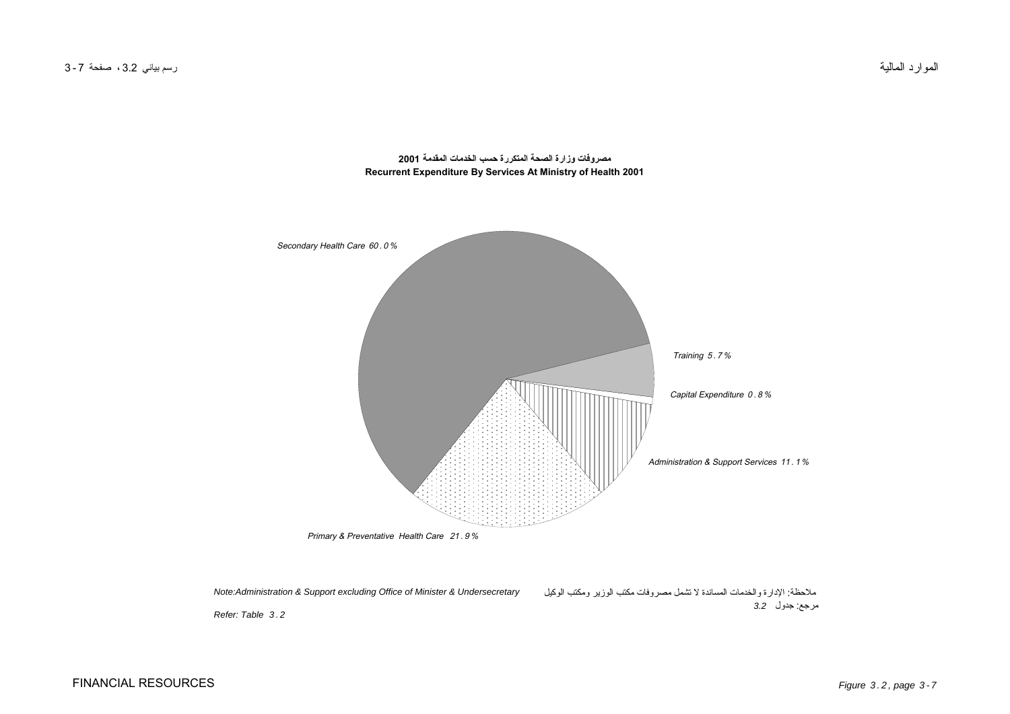<span id="page-6-0"></span>

**مصروفات وزارة الصحة المتكررة حسب الخدمات المقدمة 2001 Recurrent Expenditure By Services At Ministry of Health 2001**

*ملاحظة: الإدارة والخدمات المساندة لا تشمل مصروفات مكتب الوزير ومكتب الوآيل مرجع: جدول 3.2 Note:Administration & Support excluding Office of Minister & Undersecretary*